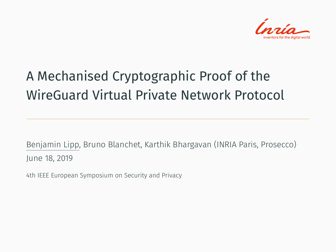

## A Mechanised Cryptographic Proof of the WireGuard Virtual Private Network Protocol

Benjamin Lipp, Bruno Blanchet, Karthik Bhargavan (INRIA Paris, Prosecco) June 18, 2019

4th IEEE European Symposium on Security and Privacy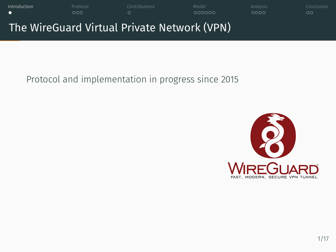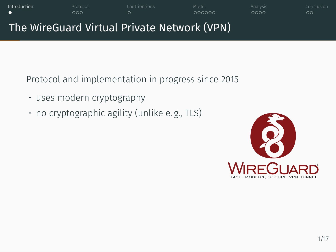

Protocol and implementation in progress since 2015

- uses modern cryptography
- no cryptographic agility (unlike e. g., TLS)

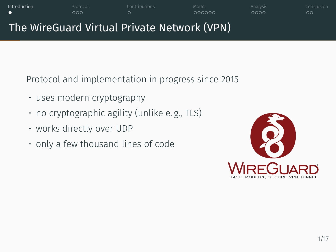## Introduction Protocol Contributions Model Analysis Conclusion The WireGuard Virtual Private Network (VPN)

Protocol and implementation in progress since 2015

- uses modern cryptography
- no cryptographic agility (unlike e. g., TLS)
- works directly over UDP
- only a few thousand lines of code

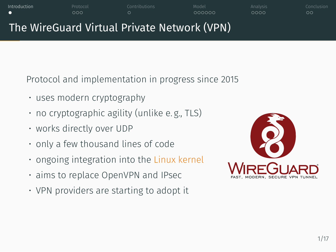## The WireGuard Virtual Private Network (VPN)

Introduction Protocol Contributions Model Analysis Conclusion

Protocol and implementation in progress since 2015

- uses modern cryptography
- no cryptographic agility (unlike e. g., TLS)
- works directly over UDP
- only a few thousand lines of code
- ongoing integration into the Linux kernel
- aims to replace OpenVPN and IPsec
- VPN providers are starting to adopt it

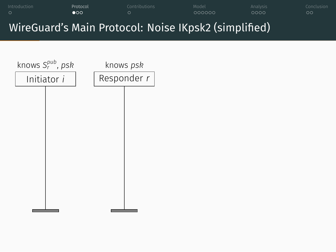# Initiator *i* knows *S pub r* , *psk* Responder *r* knows *psk*

## Introduction Protocol Contributions Model Analysis Conclusion WireGuard's Main Protocol: Noise IKpsk2 (simplified)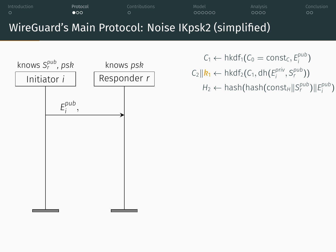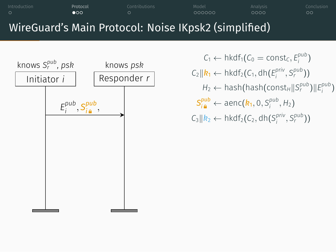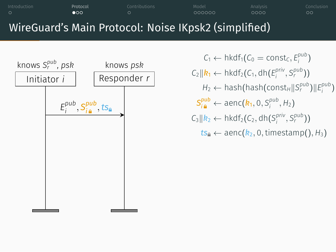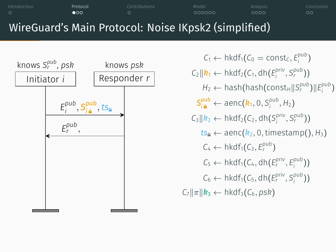### WireGuard's Main Protocol: Noise IKpsk2 (simplified) Initiator *i* knows *S pub r* , *psk* Responder *r* knows *psk E pub i , S pub i ,ts E pub r ,*  $C_1 \leftarrow \text{hkdf}_1(C_0 = \text{const}_C, E_i^{pub})$  $C_2 \parallel \mathbf{k}_1 \leftarrow \text{hkdf}_2(C_1, \text{dh}(E_i^{\text{priv}}, S_i^{\text{pub}}))$  $H_2 \leftarrow$  hash(hash(const<sub>*H*</sub> $||S_r^{pub}$ ) $||E_i^{pub}$ )  $S_{i\, \mathbf{a}}^{pub} \leftarrow \text{aenc}(\mathbf{k}_1, 0, S_i^{pub}, H_2)$  $C_3 \parallel k_2 \leftarrow \text{hkdf}_2(C_2, \text{dh}(S_i^{\text{priv}}, S_i^{\text{pub}}))$  $ts_{\theta} \leftarrow \text{aenc}(k_2, 0, \text{timestamp}(), H_3)$  $C_4 \leftarrow \mathsf{hkdf}_1(C_3, E_r^{pub})$  $C_5 \leftarrow \text{hkdf}_1(C_4, \text{dh}(E_r^{\text{priv}}, E_i^{\text{pub}}))$  $C_6 \leftarrow \text{hkdf}_1(C_5, \text{dh}(E_r^{\text{priv}}, S_i^{\text{pub}}))$  $C_7$  $|\pi|$ *k*<sub>3</sub>  $\leftarrow$  hkdf<sub>3</sub>( $C_6$ *, psk*)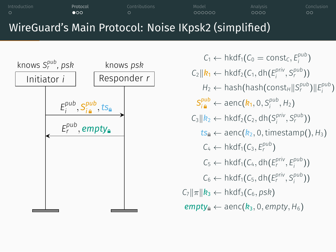### WireGuard's Main Protocol: Noise IKpsk2 (simplified) Initiator *i* knows *S pub r* , *psk* Responder *r* knows *psk E pub i , S pub i ,ts E pub r , empty*  $C_1 \leftarrow \text{hkdf}_1(C_0 = \text{const}_C, E_i^{pub})$  $C_2 \parallel \mathbf{k}_1 \leftarrow \text{hkdf}_2(C_1, \text{dh}(E_i^{\text{priv}}, S_i^{\text{pub}}))$  $H_2 \leftarrow$  hash(hash(const<sub>*H*</sub> $||S_r^{pub}$ ) $||E_i^{pub}$ )  $S_{i\, \mathbf{a}}^{pub} \leftarrow \text{aenc}(\mathbf{k}_1, 0, S_i^{pub}, H_2)$  $C_3 \parallel k_2 \leftarrow \text{hkdf}_2(C_2, \text{dh}(S_i^{\text{priv}}, S_i^{\text{pub}}))$  $ts_{\theta} \leftarrow \text{aenc}(k_2, 0, \text{timestamp}(), H_3)$  $C_4 \leftarrow \mathsf{hkdf}_1(C_3, E_r^{pub})$  $C_5 \leftarrow \text{hkdf}_1(C_4, \text{dh}(E_r^{\text{priv}}, E_i^{\text{pub}}))$  $C_6 \leftarrow \text{hkdf}_1(C_5, \text{dh}(E_r^{\text{priv}}, S_i^{\text{pub}}))$  $C_7$  $|\pi|$ *k*<sub>3</sub>  $\leftarrow$  hkdf<sub>3</sub>( $C_6$ *, psk*)  $empty<sub>a</sub> \leftarrow$  aenc( $k_3$ , 0*, empty*,  $H_6$ )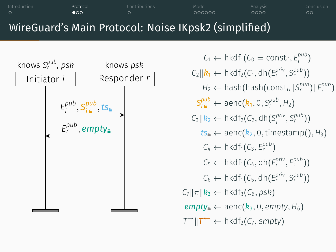### WireGuard's Main Protocol: Noise IKpsk2 (simplified) Initiator *i* knows *S pub r* , *psk* Responder *r* knows *psk E pub i , S pub i ,ts E pub r , empty*  $C_1 \leftarrow \text{hkdf}_1(C_0 = \text{const}_C, E_i^{pub})$  $C_2 \parallel \mathbf{k}_1 \leftarrow \text{hkdf}_2(C_1, \text{dh}(E_i^{\text{priv}}, S_i^{\text{pub}}))$  $H_2 \leftarrow$  hash(hash(const<sub>*H*</sub> $||S_r^{pub}$ ) $||E_i^{pub}$ )  $S_{i\, \mathbf{a}}^{pub} \leftarrow \text{aenc}(\mathbf{k}_1, 0, S_i^{pub}, H_2)$  $C_3 \parallel k_2 \leftarrow \text{hkdf}_2(C_2, \text{dh}(S_i^{\text{priv}}, S_i^{\text{pub}}))$  $ts_{\theta} \leftarrow \text{aenc}(k_2, 0, \text{timestamp}(), H_3)$  $C_4 \leftarrow \mathsf{hkdf}_1(C_3, E_r^{pub})$  $C_5 \leftarrow \text{hkdf}_1(C_4, \text{dh}(E_r^{\text{priv}}, E_i^{\text{pub}}))$  $C_6 \leftarrow \text{hkdf}_1(C_5, \text{dh}(E_r^{\text{priv}}, S_i^{\text{pub}}))$  $C_7$  $|\pi|$ *k*<sub>3</sub>  $\leftarrow$  hkdf<sub>3</sub>( $C_6$ *, psk*)  $empty<sub>a</sub> \leftarrow$  aenc( $k_3$ , 0*, empty*,  $H_6$ )  $\mathcal{T} \rightarrow \|\mathcal{T} \leftarrow \text{hkdf}_2(C_7, \text{empty})$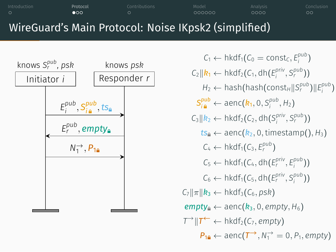#### WireGuard's Main Protocol: Noise IKpsk2 (simplified) Initiator *i* knows *S pub r* , *psk* Responder *r* knows *psk E pub i , S pub i ,ts E pub r , empty N*<sup>→</sup>, *P*<sub>1</sub>  $C_1 \leftarrow \text{hkdf}_1(C_0 = \text{const}_C, E_i^{pub})$  $C_2 \parallel \mathbf{k}_1 \leftarrow \text{hkdf}_2(C_1, \text{dh}(E_i^{\text{priv}}, S_i^{\text{pub}}))$  $H_2 \leftarrow$  hash(hash(const<sub>*H*</sub> $||S_r^{pub}$ ) $||E_i^{pub}$ )  $S_{i\, \mathbf{a}}^{pub} \leftarrow \text{aenc}(\mathbf{k}_1, 0, S_i^{pub}, H_2)$  $C_3 \parallel k_2 \leftarrow \text{hkdf}_2(C_2, \text{dh}(S_i^{\text{priv}}, S_i^{\text{pub}}))$  $tS_4 \leftarrow$  aenc $(k_2, 0,$ timestamp $(), H_3)$  $C_4 \leftarrow \mathsf{hkdf}_1(C_3, E_r^{pub})$  $C_5 \leftarrow \text{hkdf}_1(C_4, \text{dh}(E_r^{\text{priv}}, E_i^{\text{pub}}))$  $C_6 \leftarrow \text{hkdf}_1(C_5, \text{dh}(E_r^{\text{priv}}, S_i^{\text{pub}}))$  $C_7$  $|\pi|$ *k*<sub>3</sub>  $\leftarrow$  hkdf<sub>3</sub>( $C_6$ *, psk*)  $empty<sub>a</sub> \leftarrow$  aenc( $k_3$ , 0*, empty*,  $H_6$ )  $\mathcal{T} \rightarrow \|\mathcal{T} \leftarrow \text{hkdf}_2(C_7, \text{empty})$  $P_{10} \leftarrow$  aenc $(T \rightarrow N_1 \rightarrow P_1,$  *empty*)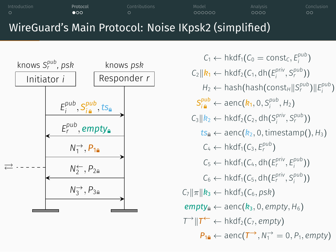### WireGuard's Main Protocol: Noise IKpsk2 (simplified) Initiator *i* knows *S pub r* , *psk* Responder *r* knows *psk E pub i , S pub i ,ts E pub r , empty N*<sup>→</sup>, *P*<sub>1</sub> ⇄ *N<sup>←</sup>* 2 *, P*<sup>2</sup>  $N_3^{\rightarrow}$ , *P*<sub>3</sub>  $S_{i\, \mathbf{a}}^{pub} \leftarrow \text{aenc}(\mathbf{k}_1, 0, S_i^{pub}, H_2)$  $C_4 \leftarrow \mathsf{hkdf}_1(C_3, E_r^{pub})$  $C_7$  $|\pi|$ *k*<sub>3</sub>  $\leftarrow$  hkdf<sub>3</sub>( $C_6$ , *psk*)  $\mathcal{T} \rightarrow \|\mathcal{T} \leftarrow \text{hkdf}_2(C_7, \text{empty})$

Introduction Protocol Contributions Model Analysis Conclusion

 $C_1 \leftarrow \text{hkdf}_1(C_0 = \text{const}_C, E_i^{pub})$  $C_2 \parallel \mathbf{k}_1 \leftarrow \text{hkdf}_2(C_1, \text{dh}(E_i^{\text{priv}}, S_i^{\text{pub}}))$  $H_2 \leftarrow$  hash(hash(const<sub>*H*</sub> $||S_r^{pub}$ ) $||E_i^{pub}$ )  $C_3 \parallel k_2 \leftarrow \text{hkdf}_2(C_2, \text{dh}(S_i^{\text{priv}}, S_i^{\text{pub}}))$  $t s_{\theta} \leftarrow$  aenc $(k_2, 0,$ timestamp $(), H_3)$  $C_5 \leftarrow \text{hkdf}_1(C_4, \text{dh}(E_r^{\text{priv}}, E_i^{\text{pub}}))$  $C_6 \leftarrow \text{hkdf}_1(C_5, \text{dh}(E_r^{\text{priv}}, S_i^{\text{pub}}))$  $empty<sub>a</sub> \leftarrow$  aenc( $k_3$ , 0*, empty*,  $H_6$ )  $P_{10} \leftarrow$  aenc $(T \rightarrow N_1 \rightarrow P_1,$  *empty*)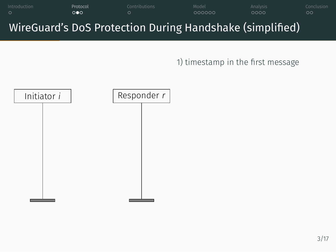



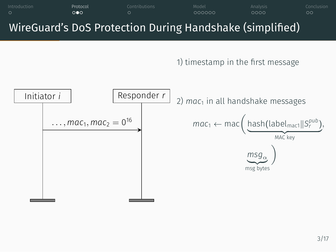

Introduction Protocol Contributions Model Analysis Conclusion

WireGuard's DoS Protection During Handshake (simplified)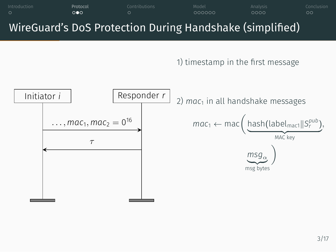

Introduction Protocol Contributions Model Analysis Conclusion

WireGuard's DoS Protection During Handshake (simplified)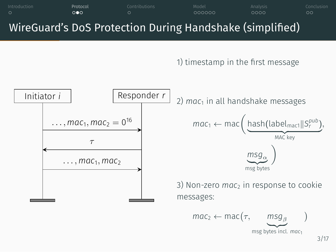

Introduction Protocol Contributions Model Analysis Conclusion

WireGuard's DoS Protection During Handshake (simplified)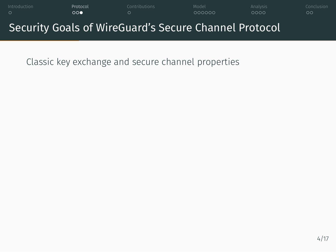

Classic key exchange and secure channel properties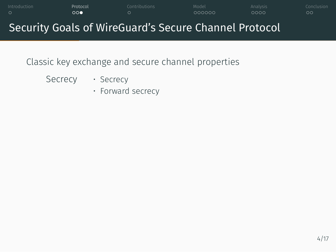## Introduction Protocol Contributions Model Analysis Conclusion Security Goals of WireGuard's Secure Channel Protocol

Classic key exchange and secure channel properties

Secrecy · Secrecy

• Forward secrecy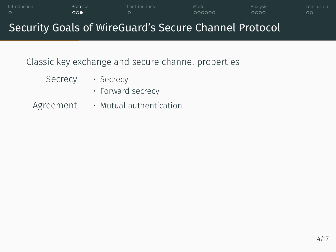## Introduction Protocol Contributions Model Analysis Conclusion Security Goals of WireGuard's Secure Channel Protocol Classic key exchange and secure channel properties Secrecy · Secrecy • Forward secrecy Agreement • Mutual authentication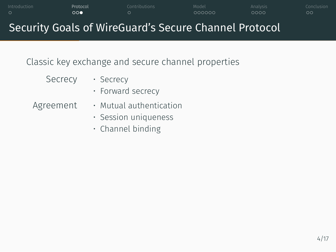## Security Goals of WireGuard's Secure Channel Protocol Classic key exchange and secure channel properties Secrecy · Secrecy • Forward secrecy Agreement • Mutual authentication

- Session uniqueness
	- Channel binding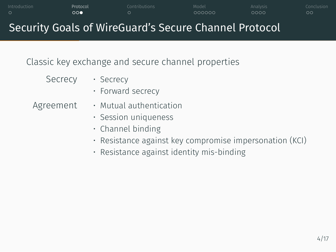### Security Goals of WireGuard's Secure Channel Protocol Classic key exchange and secure channel properties Secrecy · Secrecy • Forward secrecy Agreement • Mutual authentication • Session uniqueness • Channel binding • Resistance against key compromise impersonation (KCI) • Resistance against identity mis-binding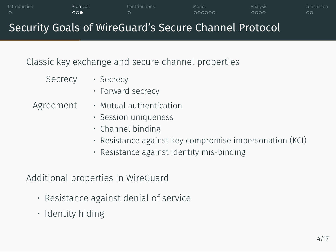## Security Goals of WireGuard's Secure Channel Protocol Classic key exchange and secure channel properties Secrecy · Secrecy • Forward secrecy

Introduction Protocol Contributions Model Analysis Conclusion

Agreement • Mutual authentication

- Session uniqueness
- 
- Channel binding
- Resistance against key compromise impersonation (KCI)
- Resistance against identity mis-binding

### Additional properties in WireGuard

- Resistance against denial of service
- Identity hiding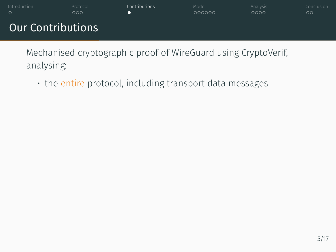

Mechanised cryptographic proof of WireGuard using CryptoVerif, analysing:

• the entire protocol, including transport data messages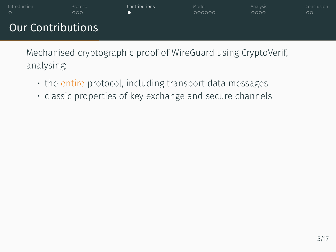

Mechanised cryptographic proof of WireGuard using CryptoVerif, analysing:

- the entire protocol, including transport data messages
- classic properties of key exchange and secure channels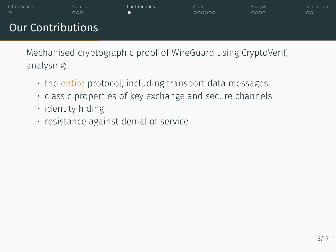Mechanised cryptographic proof of WireGuard using CryptoVerif, analysing:

- the entire protocol, including transport data messages
- classic properties of key exchange and secure channels
- identity hiding
- resistance against denial of service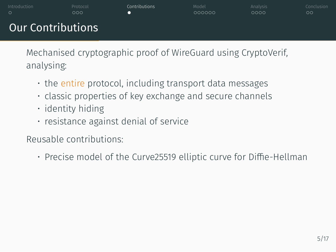Mechanised cryptographic proof of WireGuard using CryptoVerif, analysing:

- the entire protocol, including transport data messages
- classic properties of key exchange and secure channels
- identity hiding
- resistance against denial of service

Reusable contributions:

• Precise model of the Curve25519 elliptic curve for Diffie-Hellman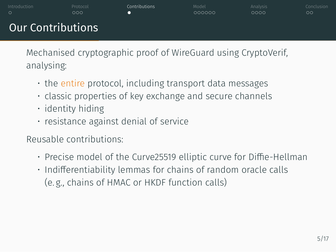Mechanised cryptographic proof of WireGuard using CryptoVerif, analysing:

- the entire protocol, including transport data messages
- classic properties of key exchange and secure channels
- identity hiding
- resistance against denial of service

Reusable contributions:

- Precise model of the Curve25519 elliptic curve for Diffie-Hellman
- Indifferentiability lemmas for chains of random oracle calls (e. g., chains of HMAC or HKDF function calls)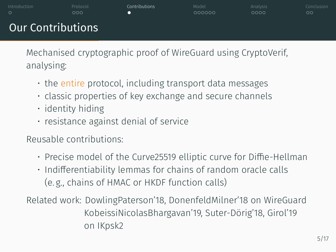Mechanised cryptographic proof of WireGuard using CryptoVerif, analysing:

- the entire protocol, including transport data messages
- classic properties of key exchange and secure channels
- identity hiding
- resistance against denial of service

Reusable contributions:

- Precise model of the Curve25519 elliptic curve for Diffie-Hellman
- Indifferentiability lemmas for chains of random oracle calls (e. g., chains of HMAC or HKDF function calls)
- Related work: DowlingPaterson'18, DonenfeldMilner'18 on WireGuard KobeissiNicolasBhargavan'19, Suter-Dörig'18, Girol'19 on IKpsk2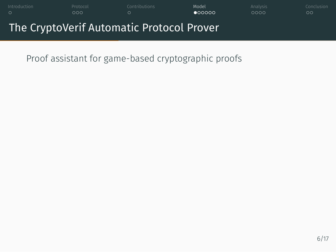

Proof assistant for game-based cryptographic proofs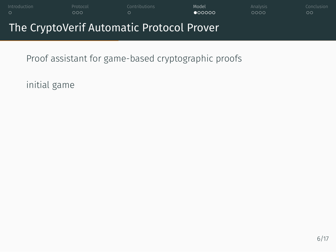

Proof assistant for game-based cryptographic proofs

initial game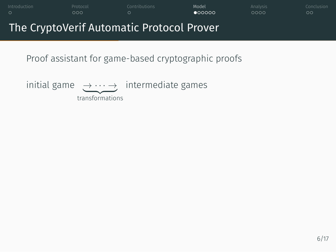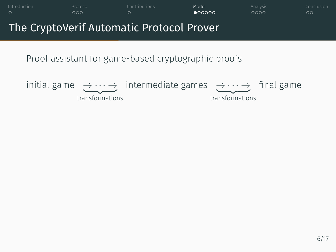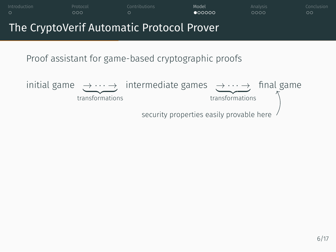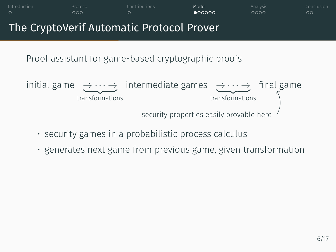

Introduction 2006 Protocol Contributions **Model Analysis Conclusion** 

• generates next game from previous game, given transformation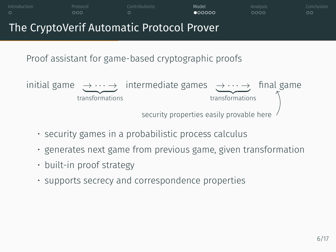

Introduction 2006 Protocol Contributions **Model Analysis Conclusion** 

• supports secrecy and correspondence properties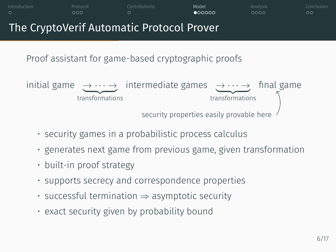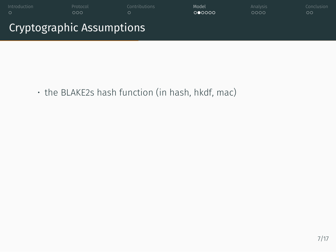

• the BLAKE2s hash function (in hash, hkdf, mac)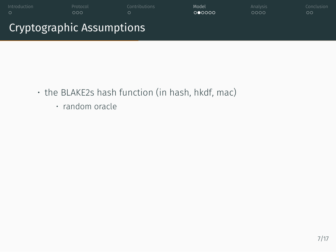

- the BLAKE2s hash function (in hash, hkdf, mac)
	- random oracle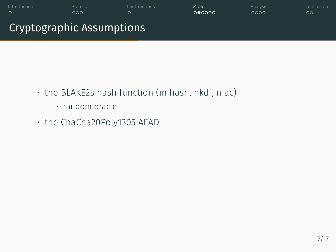- the BLAKE2s hash function (in hash, hkdf, mac)
	- random oracle
- the ChaCha20Poly1305 AEAD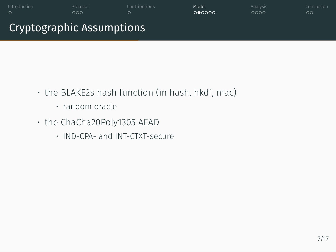- the BLAKE2s hash function (in hash, hkdf, mac)
	- random oracle
- the ChaCha20Poly1305 AEAD
	- IND-CPA- and INT-CTXT-secure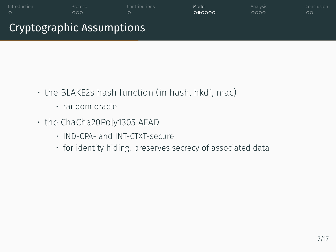- the BLAKE2s hash function (in hash, hkdf, mac)
	- random oracle
- the ChaCha20Poly1305 AEAD
	- IND-CPA- and INT-CTXT-secure
	- for identity hiding: preserves secrecy of associated data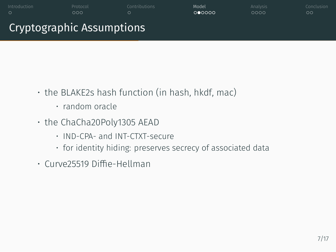- the BLAKE2s hash function (in hash, hkdf, mac)
	- random oracle
- the ChaCha20Poly1305 AEAD
	- IND-CPA- and INT-CTXT-secure
	- for identity hiding: preserves secrecy of associated data
- Curve25519 Diffie-Hellman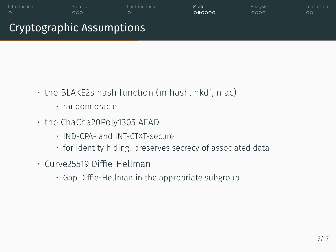- the BLAKE2s hash function (in hash, hkdf, mac)
	- random oracle
- the ChaCha20Poly1305 AEAD
	- IND-CPA- and INT-CTXT-secure
	- for identity hiding: preserves secrecy of associated data
- Curve25519 Diffie-Hellman
	- Gap Diffie-Hellman in the appropriate subgroup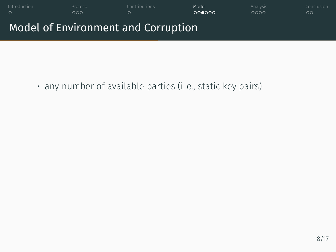

• any number of available parties (i. e., static key pairs)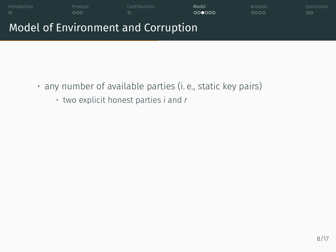

- any number of available parties (i. e., static key pairs)
	- two explicit honest parties *i* and *r*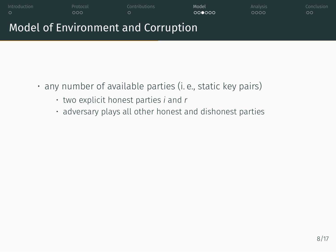

- any number of available parties (i. e., static key pairs)
	- two explicit honest parties *i* and *r*
	- adversary plays all other honest and dishonest parties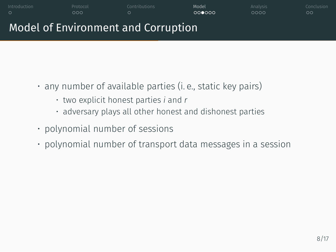# Introduction 2006 Protocol Contributions **Model Analysis Conclusion** Model of Environment and Corruption

- any number of available parties (i. e., static key pairs)
	- two explicit honest parties *i* and *r*
	- adversary plays all other honest and dishonest parties
- polynomial number of sessions
- polynomial number of transport data messages in a session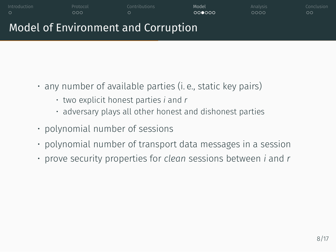#### Introduction 2006 Protocol Contributions **Model Analysis Conclusion** Model of Environment and Corruption

- any number of available parties (i. e., static key pairs)
	- two explicit honest parties *i* and *r*
	- adversary plays all other honest and dishonest parties
- polynomial number of sessions
- polynomial number of transport data messages in a session
- prove security properties for *clean* sessions between *i* and *r*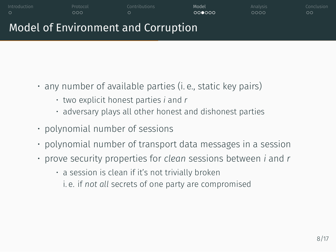#### Model of Environment and Corruption

- any number of available parties (i. e., static key pairs)
	- two explicit honest parties *i* and *r*
	- adversary plays all other honest and dishonest parties

- polynomial number of sessions
- polynomial number of transport data messages in a session
- prove security properties for *clean* sessions between *i* and *r*
	- a session is clean if it's not trivially broken
	- i. e. if *not all* secrets of one party are compromised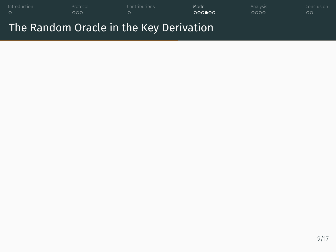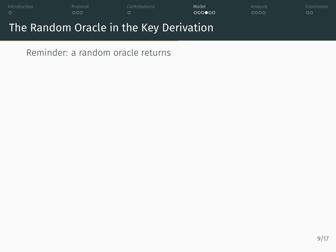

Reminder: a random oracle returns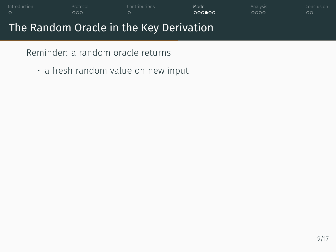## Introduction 2006 Protocol Contributions **Model Analysis Conclusion** The Random Oracle in the Key Derivation

Reminder: a random oracle returns

• a fresh random value on new input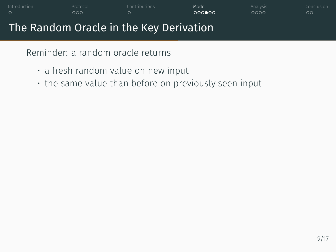#### Introduction 2006 Protocol Contributions **Model Analysis Conclusion** The Random Oracle in the Key Derivation

Reminder: a random oracle returns

- a fresh random value on new input
- the same value than before on previously seen input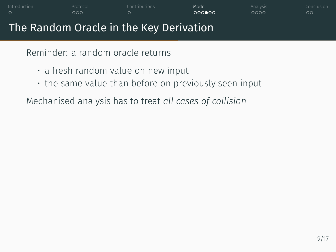Reminder: a random oracle returns

- a fresh random value on new input
- the same value than before on previously seen input

Introduction 2006 Protocol Contributions **Model Analysis Conclusion** 

Mechanised analysis has to treat *all cases of collision*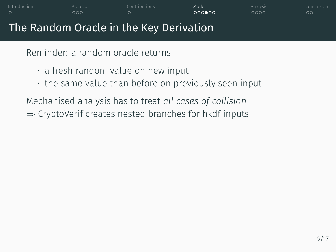Reminder: a random oracle returns

- a fresh random value on new input
- the same value than before on previously seen input

Introduction 2006 Protocol Contributions **Model Analysis Conclusion** 

Mechanised analysis has to treat *all cases of collision ⇒* CryptoVerif creates nested branches for hkdf inputs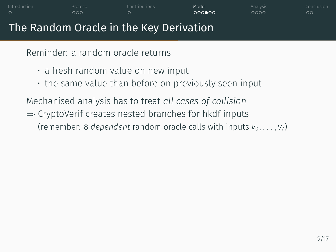Reminder: a random oracle returns

- a fresh random value on new input
- the same value than before on previously seen input

Introduction 2006 Protocol Contributions **Model Analysis Conclusion** 

Mechanised analysis has to treat *all cases of collision*

*⇒* CryptoVerif creates nested branches for hkdf inputs (remember: 8 *dependent* random oracle calls with inputs  $v_0, \ldots, v_7$ )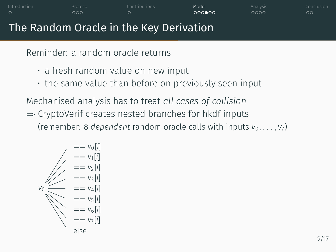Reminder: a random oracle returns

- a fresh random value on new input
- the same value than before on previously seen input

Mechanised analysis has to treat *all cases of collision*

- *⇒* CryptoVerif creates nested branches for hkdf inputs
	- (remember: 8 *dependent* random oracle calls with inputs  $v_0, \ldots, v_7$ )

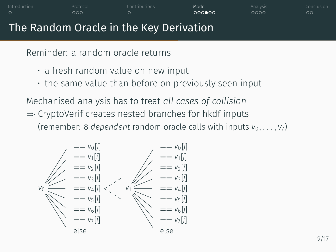Reminder: a random oracle returns

- a fresh random value on new input
- the same value than before on previously seen input

Mechanised analysis has to treat *all cases of collision*

*⇒* CryptoVerif creates nested branches for hkdf inputs

(remember: 8 *dependent* random oracle calls with inputs  $v_0, \ldots, v_7$ )

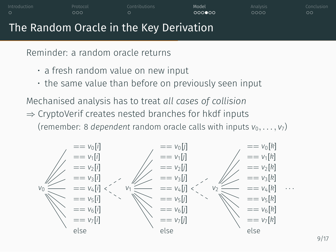Reminder: a random oracle returns

- a fresh random value on new input
- the same value than before on previously seen input

Mechanised analysis has to treat *all cases of collision*

- *⇒* CryptoVerif creates nested branches for hkdf inputs
	- (remember: 8 *dependent* random oracle calls with inputs  $v_0, \ldots, v_7$ )

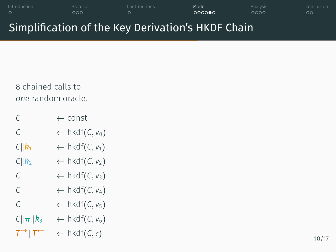### Introduction Protocol Contributions Model Analysis Conclusion Simplification of the Key Derivation's HKDF Chain

8 chained calls to *one* random oracle.

| C                                              | ← const                           |
|------------------------------------------------|-----------------------------------|
| C                                              | $\leftarrow$ hkdf(C, $v_0$ )      |
| $C  {\bm k}_1$                                 | $\leftarrow$ hkdf(C, $v_1$ )      |
| $C  k_2$                                       | $\leftarrow$ hkdf(C, $v_2$ )      |
| C                                              | $\leftarrow$ hkdf(C, $v_3$ )      |
| C                                              | $\leftarrow$ hkdf(C, $v_4$ )      |
| C                                              | $\leftarrow$ hkdf(C, $v_5$ )      |
| $C  \boldsymbol{\pi}  \boldsymbol{k}_3$        | $\leftarrow$ hkdf(C, $v_6$ )      |
| $T^{\rightarrow}$ $\parallel$ $T^{\leftarrow}$ | $\leftarrow$ hkdf(C, $\epsilon$ ) |
|                                                |                                   |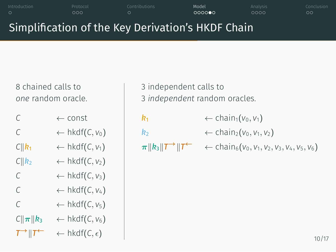# Simplification of the Key Derivation's HKDF Chain

Introduction 2006 Protocol Contributions **Model Analysis Conclusion** 

8 chained calls to *one* random oracle.

| C                                       | $\leftarrow$ const                |
|-----------------------------------------|-----------------------------------|
| C                                       | $\leftarrow$ hkdf(C, $v_0$ )      |
| $C  \mathbf{k}_1$                       | $\leftarrow$ hkdf(C, $v_1$ )      |
| $C  k_2$                                | $\leftarrow$ hkdf(C, $v_2$ )      |
| $\subset$                               | $\leftarrow$ hkdf(C, $v_3$ )      |
| C                                       | $\leftarrow$ hkdf(C, $v_4$ )      |
| $\subset$                               | $\leftarrow$ hkdf(C, $v_5$ )      |
| $C  \boldsymbol{\pi}  \boldsymbol{k}_3$ | $\leftarrow$ hkdf(C, $v_6$ )      |
| $T^{\rightarrow}$ $  T^{\leftarrow}$    | $\leftarrow$ hkdf(C, $\epsilon$ ) |

3 independent calls to 3 *independent* random oracles.

| R <sub>1</sub>                                    | $\leftarrow$ chain <sub>1</sub> ( $v_0, v_1$ )                                            |
|---------------------------------------------------|-------------------------------------------------------------------------------------------|
| R <sub>2</sub>                                    | $\leftarrow$ chain <sub>2</sub> ( $v_0, v_1, v_2$ )                                       |
| $\pi    k_3    T^{\rightarrow}    T^{\leftarrow}$ | $\leftarrow$ chain <sub>6</sub> ( $v_0$ , $v_1$ , $v_2$ , $v_3$ , $v_4$ , $v_5$ , $v_6$ ) |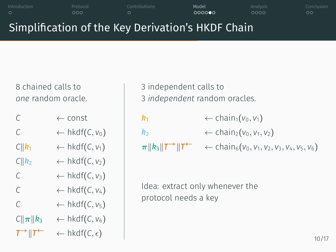## Simplification of the Key Derivation's HKDF Chain

Introduction 2006 Protocol Contributions **Model Analysis Conclusion** 

8 chained calls to *one* random oracle.

| C                                       | $\leftarrow$ const                |
|-----------------------------------------|-----------------------------------|
| C                                       | $\leftarrow$ hkdf(C, $v_0$ )      |
| $C  \bm{k}_1$                           | $\leftarrow$ hkdf(C, $v_1$ )      |
| $C  k_2$                                | $\leftarrow$ hkdf(C, $v_2$ )      |
| C                                       | $\leftarrow$ hkdf(C, $v_3$ )      |
| C                                       | $\leftarrow$ hkdf(C, $v_4$ )      |
| C                                       | $\leftarrow$ hkdf(C, $v_5$ )      |
| $C  \boldsymbol{\pi}  \boldsymbol{k}_3$ | $\leftarrow$ hkdf(C, $v_6$ )      |
| $T^{\rightarrow}$ $T^{\leftarrow}$      | $\leftarrow$ hkdf(C, $\epsilon$ ) |

3 independent calls to 3 *independent* random oracles.

| R <sub>1</sub>                                    | $\leftarrow$ chain <sub>1</sub> ( $v_0, v_1$ )                                            |
|---------------------------------------------------|-------------------------------------------------------------------------------------------|
| R <sub>2</sub>                                    | $\leftarrow$ chain <sub>2</sub> ( $v_0, v_1, v_2$ )                                       |
| $\pi    k_3    T^{\rightarrow}    T^{\leftarrow}$ | $\leftarrow$ chain <sub>6</sub> ( $v_0$ , $v_1$ , $v_2$ , $v_3$ , $v_4$ , $v_5$ , $v_6$ ) |
|                                                   |                                                                                           |

Idea: extract only whenever the protocol needs a key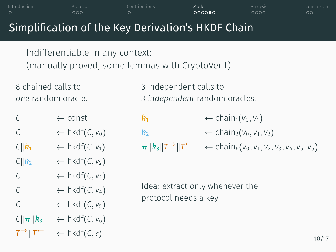|                    | ಀಀಀ                                                                     | ◡<br>Simplification of the Key Derivation's HKDF Chain | 0000<br>ಀಀಀಀ                                                                                                         | ಀಀ |
|--------------------|-------------------------------------------------------------------------|--------------------------------------------------------|----------------------------------------------------------------------------------------------------------------------|----|
|                    | Indifferentiable in any context:                                        | (manually proved, some lemmas with CryptoVerif)        |                                                                                                                      |    |
| 8 chained calls to | one random oracle.                                                      | 3 independent calls to                                 | 3 independent random oracles.                                                                                        |    |
| C                  | $\leftarrow$ const                                                      | k <sub>1</sub>                                         | $\leftarrow$ chain <sub>1</sub> ( $v_0, v_1$ )                                                                       |    |
| $\mathcal{C}$      | $\leftarrow$ hkdf(C, $v_0$ )                                            | $\mathbf{k}_2$                                         | $\leftarrow$ chain <sub>2</sub> ( $v_0, v_1, v_2$ )                                                                  |    |
|                    | $C  k_1 \leftarrow \text{hkdf}(C, v_1)$                                 |                                                        | $\pi \  k_3 \  T^{\rightarrow} \  T^{\leftarrow} \quad \leftarrow \text{chain}_6(v_0, v_1, v_2, v_3, v_4, v_5, v_6)$ |    |
|                    | $C  k_2 \leftarrow \text{hkdf}(C, V_2)$                                 |                                                        |                                                                                                                      |    |
| C                  | $\leftarrow$ hkdf(C, $v_3$ )                                            |                                                        |                                                                                                                      |    |
| $\mathcal{C}$      | $\leftarrow$ hkdf(C, $v_4$ )                                            | Idea: extract only whenever the                        |                                                                                                                      |    |
| $\mathcal{C}$      | $\leftarrow$ hkdf(C, $v_5$ )                                            | protocol needs a key                                   |                                                                                                                      |    |
|                    | $C\ \boldsymbol{\pi}\  \boldsymbol{k}_3$ $\leftarrow$ hkdf(C, $v_6$ )   |                                                        |                                                                                                                      |    |
|                    | $T^{\rightarrow}$    $T^{\leftarrow}$ $\leftarrow$ hkdf(C, $\epsilon$ ) |                                                        |                                                                                                                      | 1( |
|                    |                                                                         |                                                        |                                                                                                                      |    |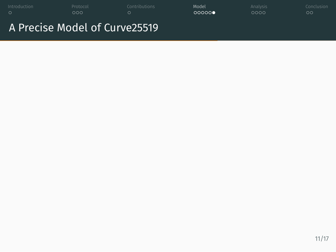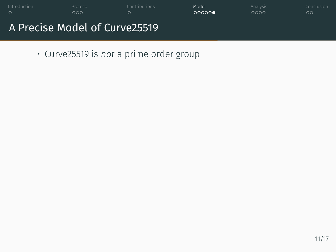

• Curve25519 is *not* a prime order group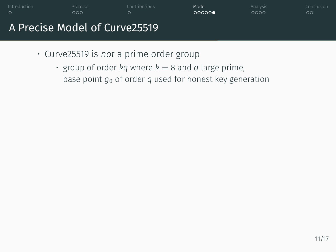

- Curve25519 is *not* a prime order group
	- $\cdot$  group of order *kq* where  $k = 8$  and *q* large prime, base point *g*<sup>0</sup> of order *q* used for honest key generation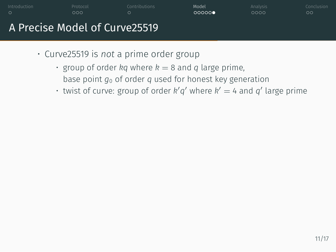

- Curve25519 is *not* a prime order group
	- $\cdot$  group of order *kq* where  $k = 8$  and *q* large prime, base point *g*<sup>0</sup> of order *q* used for honest key generation
	- twist of curve: group of order  $k'q'$  where  $k' = 4$  and  $q'$  large prime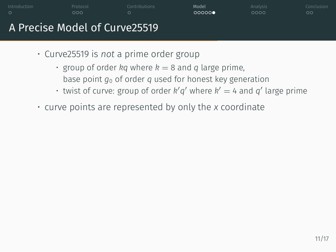

- Curve25519 is *not* a prime order group
	- $\cdot$  group of order *kq* where  $k = 8$  and *q* large prime,
		- base point *g*<sup>0</sup> of order *q* used for honest key generation
	- twist of curve: group of order  $k'q'$  where  $k' = 4$  and  $q'$  large prime
- curve points are represented by only the *x* coordinate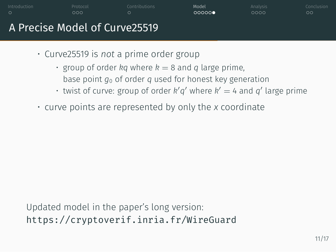

- Curve25519 is *not* a prime order group
	- $\cdot$  group of order *kq* where  $k = 8$  and *q* large prime,
		- base point *g*<sup>0</sup> of order *q* used for honest key generation
	- twist of curve: group of order  $k'q'$  where  $k' = 4$  and  $q'$  large prime
- curve points are represented by only the *x* coordinate

Updated model in the paper's long version: https://cryptoverif.inria.fr/WireGuard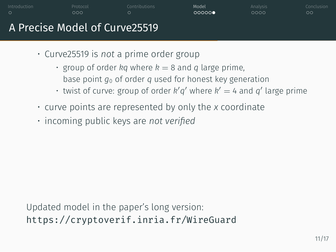

- Curve25519 is *not* a prime order group
	- $\cdot$  group of order *kq* where  $k = 8$  and *q* large prime,
		- base point *g*<sup>0</sup> of order *q* used for honest key generation
	- twist of curve: group of order  $k'q'$  where  $k' = 4$  and  $q'$  large prime
- curve points are represented by only the *x* coordinate
- incoming public keys are *not verified*

Updated model in the paper's long version: https://cryptoverif.inria.fr/WireGuard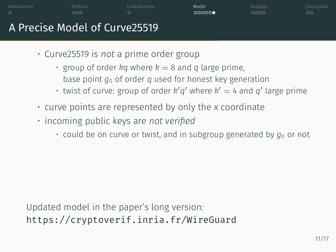- Curve25519 is *not* a prime order group
	- $\cdot$  group of order *kq* where  $k = 8$  and *q* large prime,
		- base point *g*<sup>0</sup> of order *q* used for honest key generation
	- twist of curve: group of order  $k'q'$  where  $k' = 4$  and  $q'$  large prime
- curve points are represented by only the *x* coordinate
- incoming public keys are *not verified*
	- $\cdot$  could be on curve or twist, and in subgroup generated by  $g_0$  or not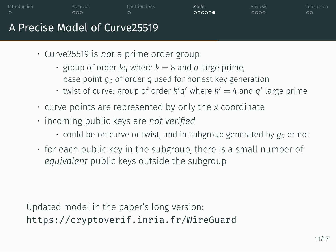- Curve25519 is *not* a prime order group
	- $\cdot$  group of order *kq* where  $k = 8$  and *q* large prime,
		- base point *g*<sup>0</sup> of order *q* used for honest key generation
	- twist of curve: group of order  $k'q'$  where  $k' = 4$  and  $q'$  large prime
- curve points are represented by only the *x* coordinate
- incoming public keys are *not verified*
	- $\cdot$  could be on curve or twist, and in subgroup generated by  $g_0$  or not
- for each public key in the subgroup, there is a small number of *equivalent* public keys outside the subgroup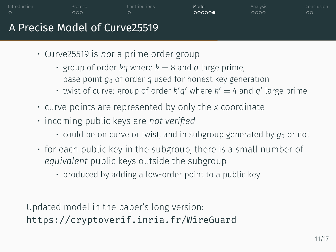- Curve25519 is *not* a prime order group
	- $\cdot$  group of order *kq* where  $k = 8$  and *q* large prime,
		- base point *g*<sup>0</sup> of order *q* used for honest key generation
	- twist of curve: group of order  $k'q'$  where  $k' = 4$  and  $q'$  large prime
- curve points are represented by only the *x* coordinate
- incoming public keys are *not verified*
	- $\cdot$  could be on curve or twist, and in subgroup generated by  $g_0$  or not
- for each public key in the subgroup, there is a small number of *equivalent* public keys outside the subgroup
	- produced by adding a low-order point to a public key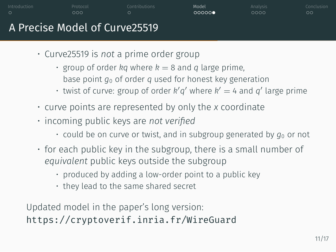- Curve25519 is *not* a prime order group
	- $\cdot$  group of order *kq* where  $k = 8$  and *q* large prime,
		- base point *g*<sup>0</sup> of order *q* used for honest key generation
	- twist of curve: group of order  $k'q'$  where  $k' = 4$  and  $q'$  large prime
- curve points are represented by only the *x* coordinate
- incoming public keys are *not verified*
	- $\cdot$  could be on curve or twist, and in subgroup generated by  $g_0$  or not
- for each public key in the subgroup, there is a small number of *equivalent* public keys outside the subgroup
	- produced by adding a low-order point to a public key
	- they lead to the same shared secret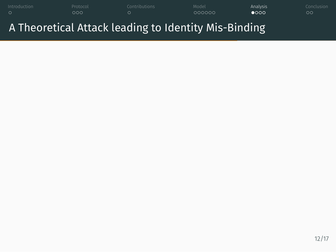Introduction Protocol Contributions Model Analysis Conclusion A Theoretical Attack leading to Identity Mis-Binding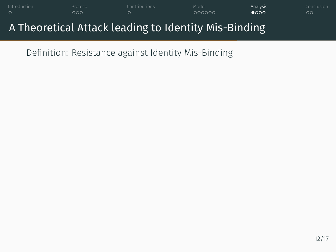

Definition: Resistance against Identity Mis-Binding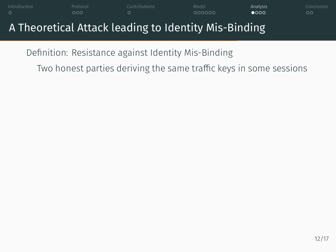### Introduction Protocol Contributions Model Analysis Conclusion A Theoretical Attack leading to Identity Mis-Binding

Definition: Resistance against Identity Mis-Binding Two honest parties deriving the same traffic keys in some sessions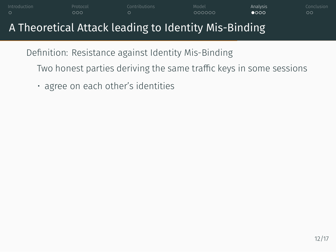Definition: Resistance against Identity Mis-Binding Two honest parties deriving the same traffic keys in some sessions

Introduction Protocol Contributions Model Analysis Conclusion

• agree on each other's identities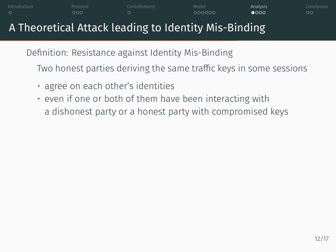Definition: Resistance against Identity Mis-Binding

Two honest parties deriving the same traffic keys in some sessions

- agree on each other's identities
- even if one or both of them have been interacting with a dishonest party or a honest party with compromised keys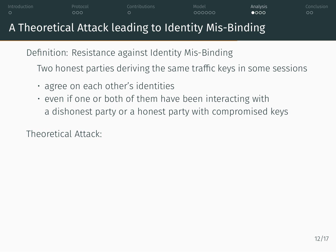Definition: Resistance against Identity Mis-Binding

Two honest parties deriving the same traffic keys in some sessions

Introduction Protocol Contributions Model Analysis Conclusion

- agree on each other's identities
- even if one or both of them have been interacting with a dishonest party or a honest party with compromised keys

Theoretical Attack: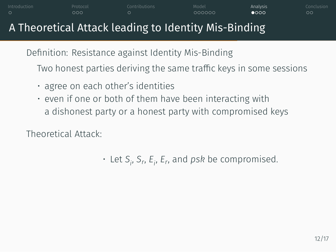Definition: Resistance against Identity Mis-Binding

Two honest parties deriving the same traffic keys in some sessions

Introduction Protocol Contributions Model Analysis Conclusion

- agree on each other's identities
- even if one or both of them have been interacting with a dishonest party or a honest party with compromised keys

Theoretical Attack:

• Let *S<sup>i</sup>* , *S<sup>r</sup>* , *Ei* , *E<sup>r</sup>* , and *psk* be compromised.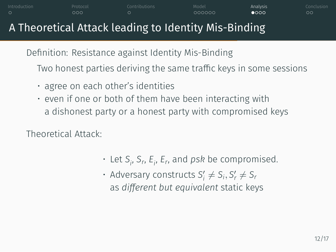Definition: Resistance against Identity Mis-Binding

Two honest parties deriving the same traffic keys in some sessions

Introduction Protocol Contributions Model Analysis Conclusion

- agree on each other's identities
- even if one or both of them have been interacting with a dishonest party or a honest party with compromised keys

Theoretical Attack:

- Let *S<sup>i</sup>* , *S<sup>r</sup>* , *Ei* , *E<sup>r</sup>* , and *psk* be compromised.
- Adversary constructs  $S'_i \neq S_i, S'_r \neq S_r$ as *different but equivalent* static keys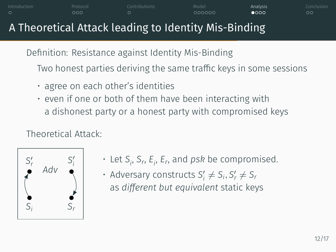Definition: Resistance against Identity Mis-Binding

Two honest parties deriving the same traffic keys in some sessions

Introduction Protocol Contributions Model Analysis Conclusion

- agree on each other's identities
- even if one or both of them have been interacting with a dishonest party or a honest party with compromised keys

#### Theoretical Attack:



- Let *S<sup>i</sup>* , *S<sup>r</sup>* , *Ei* , *E<sup>r</sup>* , and *psk* be compromised.
- Adversary constructs  $S'_i \neq S_i, S'_r \neq S_r$ as *different but equivalent* static keys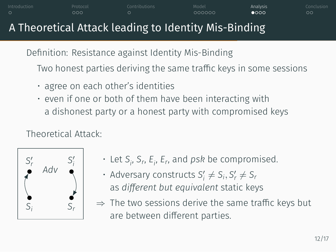Definition: Resistance against Identity Mis-Binding

Two honest parties deriving the same traffic keys in some sessions

Introduction Protocol Contributions Model Analysis Conclusion

- agree on each other's identities
- even if one or both of them have been interacting with a dishonest party or a honest party with compromised keys

#### Theoretical Attack:



• Let *S<sup>i</sup>* , *S<sup>r</sup>* , *Ei* , *E<sup>r</sup>* , and *psk* be compromised.

• Adversary constructs  $S'_i \neq S_i, S'_r \neq S_r$ as *different but equivalent* static keys

*⇒* The two sessions derive the same traffic keys but are between different parties.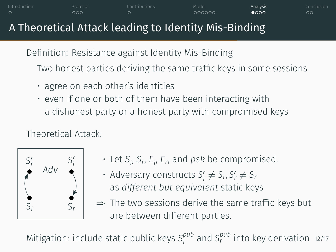Definition: Resistance against Identity Mis-Binding

Two honest parties deriving the same traffic keys in some sessions

Introduction Protocol Contributions Model Analysis Conclusion

- agree on each other's identities
- even if one or both of them have been interacting with a dishonest party or a honest party with compromised keys

#### Theoretical Attack:



• Let *S<sup>i</sup>* , *S<sup>r</sup>* , *Ei* , *E<sup>r</sup>* , and *psk* be compromised.

• Adversary constructs  $S'_i \neq S_i, S'_r \neq S_r$ as *different but equivalent* static keys

*⇒* The two sessions derive the same traffic keys but are between different parties.

Mitigation: include static public keys *S pub i* and *S pub r* into key derivation 12/17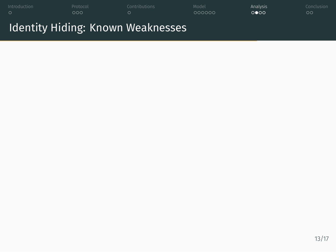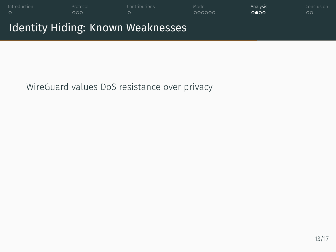

WireGuard values DoS resistance over privacy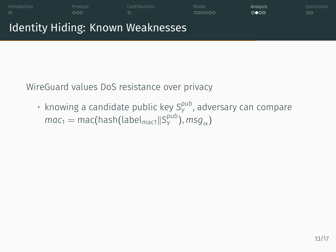

WireGuard values DoS resistance over privacy

• knowing a candidate public key S<sup>pub</sup>, adversary can compare  $mac_1 = mac(hash(label_{mac1} || S_Y^{pub}), msg_{\alpha})$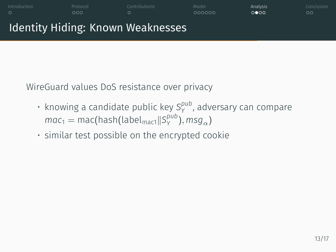### Introduction Protocol Contributions Model Analysis Conclusion Identity Hiding: Known Weaknesses

WireGuard values DoS resistance over privacy

- knowing a candidate public key S<sup>pub</sup>, adversary can compare  $mac_1 = mac(hash(label_{mac1} || S_Y^{pub}), msg_{\alpha})$
- similar test possible on the encrypted cookie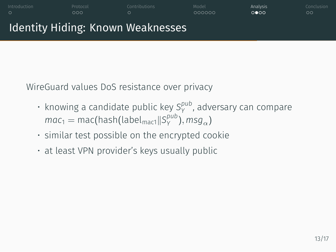## Identity Hiding: Known Weaknesses

WireGuard values DoS resistance over privacy

• knowing a candidate public key S<sup>pub</sup>, adversary can compare  $mac_1 = mac(hash(label_{mac1} || S_Y^{pub}), msg_{\alpha})$ 

- similar test possible on the encrypted cookie
- at least VPN provider's keys usually public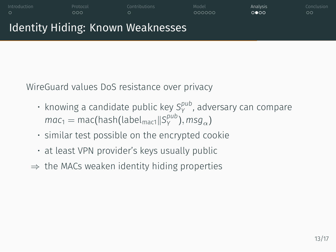#### Identity Hiding: Known Weaknesses

WireGuard values DoS resistance over privacy

• knowing a candidate public key S<sup>pub</sup>, adversary can compare  $mac_1 = mac(hash(label_{mac1} || S_Y^{pub}), msg_{\alpha})$ 

- similar test possible on the encrypted cookie
- at least VPN provider's keys usually public
- *⇒* the MACs weaken identity hiding properties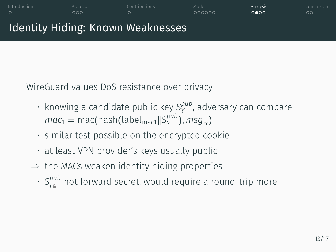#### Identity Hiding: Known Weaknesses

WireGuard values DoS resistance over privacy

• knowing a candidate public key S<sup>pub</sup>, adversary can compare  $mac_1 = mac(hash(label_{mac1} || S_Y^{pub}), msg_{\alpha})$ 

- similar test possible on the encrypted cookie
- at least VPN provider's keys usually public
- *⇒* the MACs weaken identity hiding properties
	- $\cdot$   $S_{i}^{pub}$ *i* not forward secret, would require a round-trip more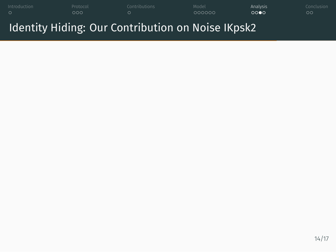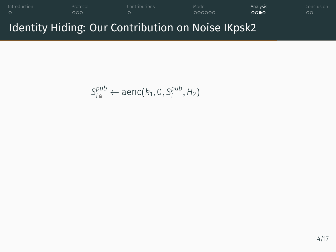

$$
S_{i\mathbf{a}}^{pub} \leftarrow \text{aenc}(k_1, 0, S_i^{pub}, H_2)
$$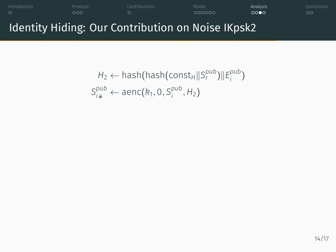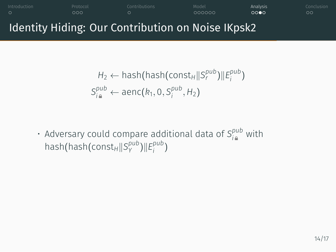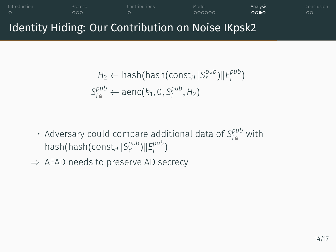### Identity Hiding: Our Contribution on Noise IKpsk2  $H_2 \leftarrow$  hash(hash(const $H_1$ *|* $S_r^{pub}$ *)||* $E_i^{pub}$ *i* )  $S_{i\,a}^{pub} \leftarrow$  aenc $(k_1, 0, S_i^{pub})$  $\binom{p}{i}$ , H<sub>2</sub>)  $\cdot$  Adversary could compare additional data of  $S_{i}^{pub}$  with

- hash(hash(const*H∥S pub Y* )*∥E pub i* )
- *⇒* AEAD needs to preserve AD secrecy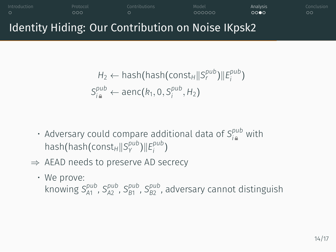### Identity Hiding: Our Contribution on Noise IKpsk2  $H_2 \leftarrow$  hash(hash(const $H_1$ *|* $S_r^{pub}$ *)||* $E_i^{pub}$ *i* )  $S_{i\,a}^{pub} \leftarrow$  aenc $(k_1, 0, S_i^{pub})$  $\binom{p}{i}$ , H<sub>2</sub>)

- $\cdot$  Adversary could compare additional data of  $S_{i}^{pub}$  with hash(hash(const*H∥S pub Y* )*∥E pub i* )
- *⇒* AEAD needs to preserve AD secrecy
- We prove: knowing S $_{A1}^{pub}$ , S $_{A2}^{pub}$ , S $_{B1}^{pub}$ , S $_{B2}^{bub}$ , adversary cannot distinguish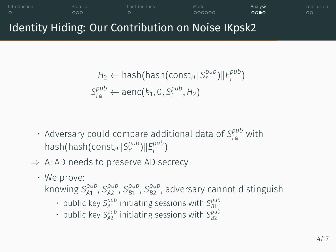# Identity Hiding: Our Contribution on Noise IKpsk2

$$
H_2 \leftarrow \text{hash}(\text{hash}(\text{const}_H || S_i^{pub}) || E_i^{pub})
$$
  

$$
S_{i\mathbf{a}}^{pub} \leftarrow \text{aenc}(k_1, 0, S_i^{pub}, H_2)
$$

- $\cdot$  Adversary could compare additional data of  $S_{i}^{pub}$  with hash(hash(const*H∥S pub Y* )*∥E pub i* )
- *⇒* AEAD needs to preserve AD secrecy
	- We prove:
		- knowing S $_{A1}^{pub}$ , S $_{A2}^{pub}$ , S $_{B1}^{pub}$ , S $_{B2}^{bub}$ , adversary cannot distinguish
			- public key  $S_{A1}^{pub}$  initiating sessions with  $S_{B1}^{pub}$ <br>• public key  $S_{A2}^{pub}$  initiating sessions with  $S_{B2}^{pub}$
			-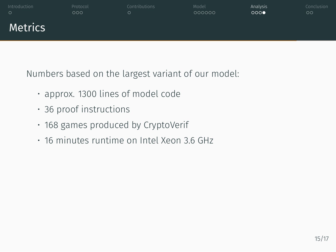

Numbers based on the largest variant of our model:

- approx. 1300 lines of model code
- 36 proof instructions
- 168 games produced by CryptoVerif
- 16 minutes runtime on Intel Xeon 3.6 GHz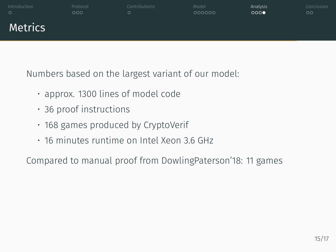

Numbers based on the largest variant of our model:

- approx. 1300 lines of model code
- 36 proof instructions
- 168 games produced by CryptoVerif
- 16 minutes runtime on Intel Xeon 3.6 GHz

Compared to manual proof from DowlingPaterson'18: 11 games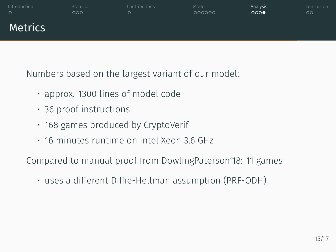### Introduction Protocol Contributions Model Analysis Conclusion Metrics

Numbers based on the largest variant of our model:

- approx. 1300 lines of model code
- 36 proof instructions
- 168 games produced by CryptoVerif
- 16 minutes runtime on Intel Xeon 3.6 GHz

Compared to manual proof from DowlingPaterson'18: 11 games

• uses a different Diffie-Hellman assumption (PRF-ODH)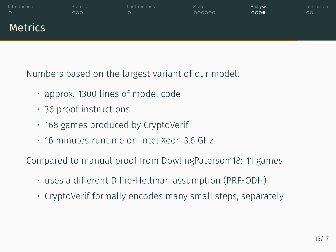### Introduction Protocol Contributions Model Analysis Conclusion Metrics

Numbers based on the largest variant of our model:

- approx. 1300 lines of model code
- 36 proof instructions
- 168 games produced by CryptoVerif
- 16 minutes runtime on Intel Xeon 3.6 GHz

Compared to manual proof from DowlingPaterson'18: 11 games

- uses a different Diffie-Hellman assumption (PRF-ODH)
- CryptoVerif formally encodes many small steps, separately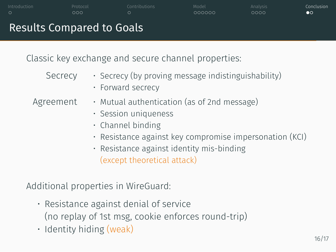|                                                                                     | $\cup$<br>ಀಀಀ<br><b>Results Compared to Goals</b> | $\circ$                                                                                                                                                                                                                                     | <b>OOOOOO</b>                                       | 0000 | OO. |  |
|-------------------------------------------------------------------------------------|---------------------------------------------------|---------------------------------------------------------------------------------------------------------------------------------------------------------------------------------------------------------------------------------------------|-----------------------------------------------------|------|-----|--|
| Classic key exchange and secure channel properties:                                 |                                                   |                                                                                                                                                                                                                                             |                                                     |      |     |  |
|                                                                                     | Secrecy                                           | • Forward secrecy                                                                                                                                                                                                                           | · Secrecy (by proving message indistinguishability) |      |     |  |
|                                                                                     | Agreement                                         | · Mutual authentication (as of 2nd message)<br>· Session uniqueness<br>$\cdot$ Channel binding<br>· Resistance against key compromise impersonation (KCI)<br>$\cdot$ Resistance against identity mis-binding<br>(except theoretical attack) |                                                     |      |     |  |
| Additional properties in WireGuard:<br>$\cdot$ Resistance against denial of service |                                                   |                                                                                                                                                                                                                                             |                                                     |      |     |  |
|                                                                                     |                                                   |                                                                                                                                                                                                                                             |                                                     |      |     |  |

- (no replay of 1st msg, cookie enforces round-trip)
- Identity hiding (weak)